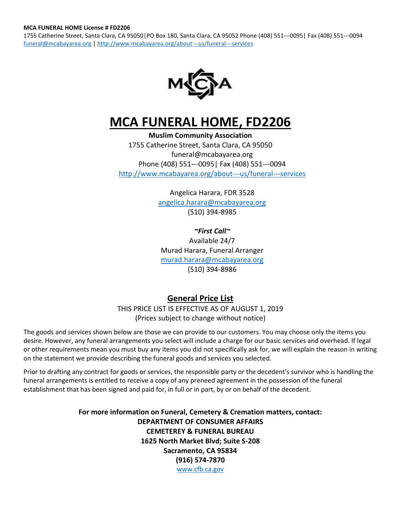1755 Catherine Street, Santa Clara, CA 95050|PO Box 180, Santa Clara, CA 95052 Phone (408) 551---0095| Fax (408) 551---0094 [funeral@mcabayarea.org](mailto:funeral@mcabayarea.org) | <http://www.mcabayarea.org/about---us/funeral---services>



# **MCA FUNERAL HOME, FD2206**

**Muslim Community Association** 1755 Catherine Street, Santa Clara, CA 95050 funeral@mcabayarea.org Phone (408) 551---0095| Fax (408) 551---0094 <http://www.mcabayarea.org/about---us/funeral---services>

> Angelica Harara, FDR 3528 [angelica.harara@mcabayarea.org](mailto:angelica.harara@mcabayarea.org) (510) 394-8985

*~First Call~* Available 24/7 Murad Harara, Funeral Arranger [murad.harara@mcabayarea.org](mailto:murad.harara@mcabayarea.org) (510) 394-8986

# **General Price List**

THIS PRICE LIST IS EFFECTIVE AS OF AUGUST 1, 2019 (Prices subject to change without notice)

The goods and services shown below are those we can provide to our customers. You may choose only the items you desire. However, any funeral arrangements you select will include a charge for our basic services and overhead. If legal or other requirements mean you must buy any items you did not specifically ask for, we will explain the reason in writing on the statement we provide describing the funeral goods and services you selected.

Prior to drafting any contract for goods or services, the responsible party or the decedent's survivor who is handling the funeral arrangements is entitled to receive a copy of any preneed agreement in the possession of the funeral establishment that has been signed and paid for, in full or in part, by or on behalf of the decedent.

> **For more information on Funeral, Cemetery & Cremation matters, contact: DEPARTMENT OF CONSUMER AFFAIRS CEMETEREY & FUNERAL BUREAU 1625 North Market Blvd; Suite S-208 Sacramento, CA 95834 (916) 574-7870** [www.cfb.ca.gov](http://www.cfb.ca.gov/)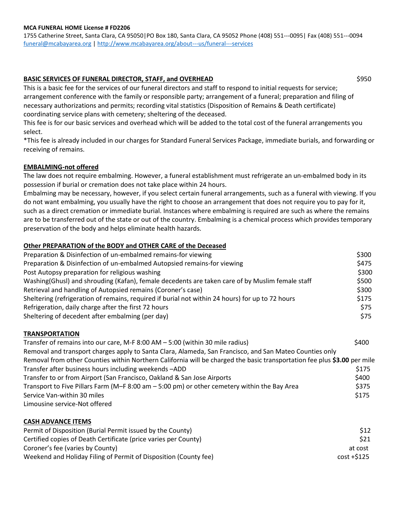#### **MCA FUNERAL HOME License # FD2206**

1755 Catherine Street, Santa Clara, CA 95050|PO Box 180, Santa Clara, CA 95052 Phone (408) 551---0095| Fax (408) 551---0094 [funeral@mcabayarea.org](mailto:funeral@mcabayarea.org) | <http://www.mcabayarea.org/about---us/funeral---services>

#### **BASIC SERVICES OF FUNERAL DIRECTOR, STAFF, and OVERHEAD** \$950

This is a basic fee for the services of our funeral directors and staff to respond to initial requests for service; arrangement conference with the family or responsible party; arrangement of a funeral; preparation and filing of necessary authorizations and permits; recording vital statistics (Disposition of Remains & Death certificate) coordinating service plans with cemetery; sheltering of the deceased.

This fee is for our basic services and overhead which will be added to the total cost of the funeral arrangements you select.

\*This fee is already included in our charges for Standard Funeral Services Package, immediate burials, and forwarding or receiving of remains.

#### **EMBALMING-not offered**

The law does not require embalming. However, a funeral establishment must refrigerate an un-embalmed body in its possession if burial or cremation does not take place within 24 hours.

Embalming may be necessary, however, if you select certain funeral arrangements, such as a funeral with viewing. If you do not want embalming, you usually have the right to choose an arrangement that does not require you to pay for it, such as a direct cremation or immediate burial. Instances where embalming is required are such as where the remains are to be transferred out of the state or out of the country. Embalming is a chemical process which provides temporary preservation of the body and helps eliminate health hazards.

#### **Other PREPARATION of the BODY and OTHER CARE of the Deceased**

| Preparation & Disinfection of un-embalmed remains-for viewing                                    | \$300 |
|--------------------------------------------------------------------------------------------------|-------|
| Preparation & Disinfection of un-embalmed Autopsied remains-for viewing                          | \$475 |
| Post Autopsy preparation for religious washing                                                   | \$300 |
| Washing (Ghusl) and shrouding (Kafan), female decedents are taken care of by Muslim female staff | \$500 |
| Retrieval and handling of Autopsied remains (Coroner's case)                                     | \$300 |
| Sheltering (refrigeration of remains, required if burial not within 24 hours) for up to 72 hours | \$175 |
| Refrigeration, daily charge after the first 72 hours                                             | \$75  |
| Sheltering of decedent after embalming (per day)                                                 | \$75  |

#### **TRANSPORTATION**

| Transfer of remains into our care, M-F 8:00 AM - 5:00 (within 30 mile radius)                                            | \$400 |
|--------------------------------------------------------------------------------------------------------------------------|-------|
| Removal and transport charges apply to Santa Clara, Alameda, San Francisco, and San Mateo Counties only                  |       |
| Removal from other Counties within Northern California will be charged the basic transportation fee plus \$3.00 per mile |       |
| Transfer after business hours including weekends -ADD                                                                    | \$175 |
| Transfer to or from Airport (San Francisco, Oakland & San Jose Airports                                                  | \$400 |
| Transport to Five Pillars Farm ( $M$ –F 8:00 am – 5:00 pm) or other cemetery within the Bay Area                         | \$375 |
| Service Van-within 30 miles                                                                                              | \$175 |
| Limousine service-Not offered                                                                                            |       |

#### **CASH ADVANCE ITEMS**

| Permit of Disposition (Burial Permit issued by the County)       | <b>S12</b> |
|------------------------------------------------------------------|------------|
| Certified copies of Death Certificate (price varies per County)  | S21        |
| Coroner's fee (varies by County)                                 | at cost    |
| Weekend and Holiday Filing of Permit of Disposition (County fee) | cost +S125 |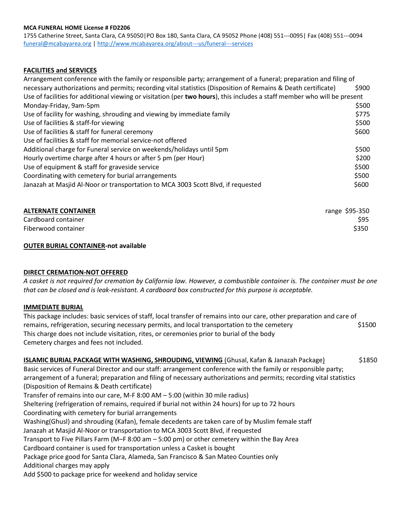#### **MCA FUNERAL HOME License # FD2206**

1755 Catherine Street, Santa Clara, CA 95050|PO Box 180, Santa Clara, CA 95052 Phone (408) 551---0095| Fax (408) 551---0094 [funeral@mcabayarea.org](mailto:funeral@mcabayarea.org) | <http://www.mcabayarea.org/about---us/funeral---services>

#### **FACILITIES and SERVICES**

| Arrangement conference with the family or responsible party; arrangement of a funeral; preparation and filing of         |       |  |
|--------------------------------------------------------------------------------------------------------------------------|-------|--|
| necessary authorizations and permits; recording vital statistics (Disposition of Remains & Death certificate)            | \$900 |  |
| Use of facilities for additional viewing or visitation (per two hours), this includes a staff member who will be present |       |  |
| Monday-Friday, 9am-5pm                                                                                                   | \$500 |  |
| Use of facility for washing, shrouding and viewing by immediate family                                                   | \$775 |  |
| Use of facilities & staff-for viewing                                                                                    | \$500 |  |
| Use of facilities & staff for funeral ceremony                                                                           | \$600 |  |
| Use of facilities & staff for memorial service-not offered                                                               |       |  |
| Additional charge for Funeral service on weekends/holidays until 5pm                                                     | \$500 |  |
| Hourly overtime charge after 4 hours or after 5 pm (per Hour)                                                            | \$200 |  |
| Use of equipment & staff for graveside service                                                                           | \$500 |  |
| Coordinating with cemetery for burial arrangements                                                                       | \$500 |  |
| Janazah at Masjid Al-Noor or transportation to MCA 3003 Scott Blvd, if requested                                         | \$600 |  |

| <b>ALTERNATE CONTAINER</b> | range \$95-350 |
|----------------------------|----------------|
| Cardboard container        | \$95           |
| Fiberwood container        | \$350          |

#### **OUTER BURIAL CONTAINER-not available**

#### **DIRECT CREMATION-NOT OFFERED**

A casket is not required for cremation by California law. However, a combustible container is. The container must be one *that can be closed and is leak-resistant. A cardboard box constructed for this purpose is acceptable.*

#### **IMMEDIATE BURIAL**

This package includes: basic services of staff, local transfer of remains into our care, other preparation and care of remains, refrigeration, securing necessary permits, and local transportation to the cemetery  $$1500$ This charge does not include visitation, rites, or ceremonies prior to burial of the body Cemetery charges and fees not included.

## **ISLAMIC BURIAL PACKAGE WITH WASHING, SHROUDING, VIEWING** (Ghusal, Kafan & Janazah Package) \$1850

Basic services of Funeral Director and our staff: arrangement conference with the family or responsible party; arrangement of a funeral; preparation and filing of necessary authorizations and permits; recording vital statistics (Disposition of Remains & Death certificate)

Transfer of remains into our care, M-F 8:00 AM – 5:00 (within 30 mile radius)

Sheltering (refrigeration of remains, required if burial not within 24 hours) for up to 72 hours

Coordinating with cemetery for burial arrangements

Washing(Ghusl) and shrouding (Kafan), female decedents are taken care of by Muslim female staff

Janazah at Masjid Al-Noor or transportation to MCA 3003 Scott Blvd, if requested

Transport to Five Pillars Farm (M–F 8:00 am – 5:00 pm) or other cemetery within the Bay Area

Cardboard container is used for transportation unless a Casket is bought

Package price good for Santa Clara, Alameda, San Francisco & San Mateo Counties only

Additional charges may apply

Add \$500 to package price for weekend and holiday service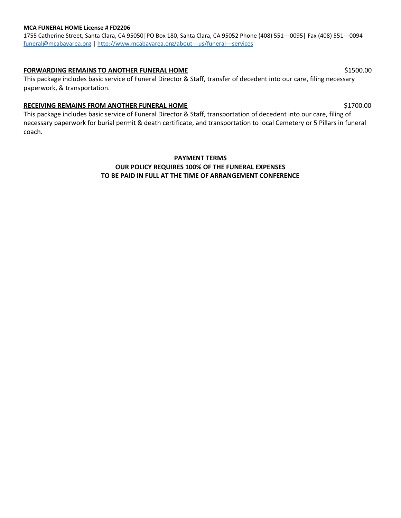#### **MCA FUNERAL HOME License # FD2206**

1755 Catherine Street, Santa Clara, CA 95050|PO Box 180, Santa Clara, CA 95052 Phone (408) 551---0095| Fax (408) 551---0094 [funeral@mcabayarea.org](mailto:funeral@mcabayarea.org) | <http://www.mcabayarea.org/about---us/funeral---services>

#### **FORWARDING REMAINS TO ANOTHER FUNERAL HOME** \$1500.00

This package includes basic service of Funeral Director & Staff, transfer of decedent into our care, filing necessary paperwork, & transportation.

#### **RECEIVING REMAINS FROM ANOTHER FUNERAL HOME** \$1700.00

This package includes basic service of Funeral Director & Staff, transportation of decedent into our care, filing of necessary paperwork for burial permit & death certificate, and transportation to local Cemetery or 5 Pillars in funeral coach.

## **PAYMENT TERMS OUR POLICY REQUIRES 100% OF THE FUNERAL EXPENSES TO BE PAID IN FULL AT THE TIME OF ARRANGEMENT CONFERENCE**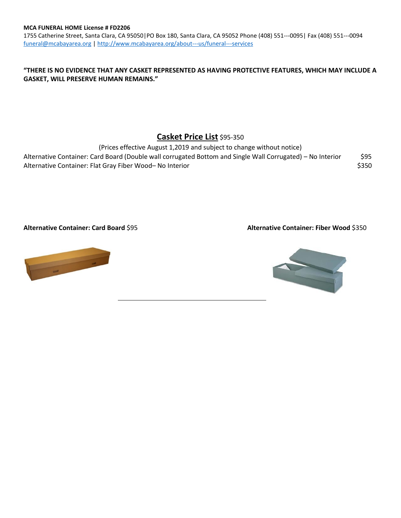1755 Catherine Street, Santa Clara, CA 95050|PO Box 180, Santa Clara, CA 95052 Phone (408) 551---0095| Fax (408) 551---0094 [funeral@mcabayarea.org](mailto:funeral@mcabayarea.org) | <http://www.mcabayarea.org/about---us/funeral---services>

### **"THERE IS NO EVIDENCE THAT ANY CASKET REPRESENTED AS HAVING PROTECTIVE FEATURES, WHICH MAY INCLUDE A GASKET, WILL PRESERVE HUMAN REMAINS."**

# **Casket Price List** \$95-350

(Prices effective August 1,2019 and subject to change without notice) Alternative Container: Card Board (Double wall corrugated Bottom and Single Wall Corrugated) – No Interior \$95 Alternative Container: Flat Gray Fiber Wood– No Interior **\$350** \$350

**Alternative Container: Card Board** \$95 **Alternative Container: Fiber Wood** \$350

 $\overline{\phantom{0}}$